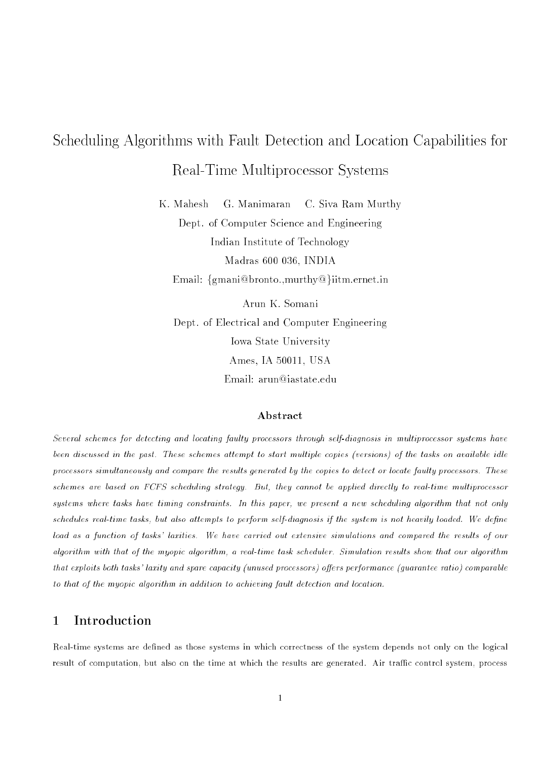# Scheduling Algorithms with Fault Detection and Location Capabilities for Real-Time Multiprocessor Systems

K. Mahesh G. Manimaran C. Siva Ram Murthy Dept. of Computer Science and Engineering Indian Institute of Technology Madras 600 036, INDIA Email:  $\{\text{gmani@bronto.}$  murthy@ $\}$ iitm.ernet.in

Arun K. Somani Dept. of Electrical and Computer Engineering Iowa State University Ames, IA 50011, USA Email: arun@iastate.edu

# Abstract

Several schemes for detecting and locating faulty processors through self-diagnosis in multiprocessor systems have been discussed in the past. These schemes attempt to start multiple copies (versions) of the tasks on available id le processors simultaneously and compare the results generated by the copies to detect or locate faulty processors. These schemes are based on FCFS scheduling strategy. But, they cannot be applied directly to real-time multiprocessor systems where tasks have timing constraints. In this paper, we present <sup>a</sup> new scheduling algorithm that not only schedules real-time tasks, but also attempts to perform self-diagnosis if the system is not heavily loaded. We dene load as <sup>a</sup> function of tasks' laxities. We have carried out extensive simulations and compared the results of our algorithm with that of the myopic algorithm, a real-time task scheduler. Simulation results show that our algorithm that exploits both tasks' laxity and spare capacity (unused processors) offers performance (quarantee ratio) comparable to that of the myopic algorithm in addition to achieving fault detection and location.

# <sup>1</sup> Introduction

Real-time systems are defined as those systems in which correctness of the system depends not only on the logical result of computation, but also on the time at which the results are generated. Air traffic control system, process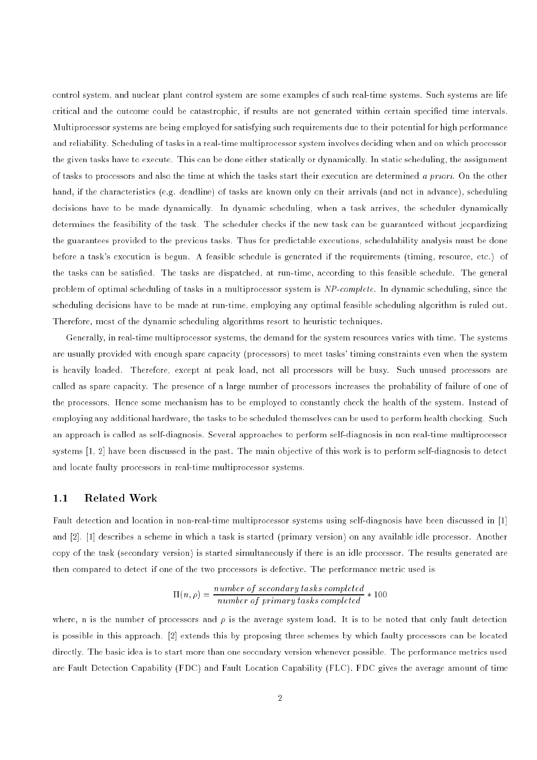control system, and nuclear plant control system are some examples of such real-time systems. Such systems are life critical and the outcome could be catastrophic, if results are not generated within certain specied time intervals. Multiprocessor systems are being employed for satisfying such requirements due to their potential for high performance and reliability. Scheduling of tasks in a real-time multiprocessor system involves deciding when and on which processor the given tasks have to execute. This can be done either statically or dynamically. In static scheduling, the assignment of tasks to processors and also the time at which the tasks start their execution are determined a priori. On the other hand, if the characteristics (e.g. deadline) of tasks are known only on their arrivals (and not in advance), scheduling decisions have to be made dynamically. In dynamic scheduling, when a task arrives, the scheduler dynamically determines the feasibility of the task. The scheduler checks if the new task can be guaranteed without jeopardizing the guarantees provided to the previous tasks. Thus for predictable executions, schedulability analysis must be done before a task's execution is begun. A feasible schedule is generated if the requirements (timing, resource, etc.) of the tasks can be satised. The tasks are dispatched, at run-time, according to this feasible schedule. The general problem of optimal scheduling of tasks in a multiprocessor system is NP-complete. In dynamic scheduling, since the scheduling decisions have to be made at run-time, employing any optimal feasible scheduling algorithm is ruled out. Therefore, most of the dynamic scheduling algorithms resort to heuristic techniques.

Generally, in real-time multiprocessor systems, the demand for the system resources varies with time. The systems are usually provided with enough spare capacity (processors) to meet tasks' timing constraints even when the system is heavily loaded. Therefore, except at peak load, not all processors will be busy. Such unused processors are called as spare capacity. The presence of a large number of processors increases the probability of failure of one of the processors. Hence some mechanism has to be employed to constantly check the health of the system. Instead of employing any additional hardware, the tasks to be scheduled themselves can be used to perform health checking. Such an approach is called as self-diagnosis. Several approaches to perform self-diagnosis in non real-time multiprocessor systems [1, 2] have been discussed in the past. The main objective of this work is to perform self-diagnosis to detect and locate faulty processors in real-time multiprocessor systems.

# 1.1 Related Work

Fault detection and location in non-real-time multiprocessor systems using self-diagnosis have been discussed in [1] and [2]. [1] describes a scheme in which a task is started (primary version) on any available idle processor. Another copy of the task (secondary version) is started simultaneously if there is an idle processor. The results generated are then compared to detect if one of the two processors is defective. The performance metric used is

$$
\Pi(n,\rho) = \frac{number\ of\ secondary\ tasks\ completed}{number\ of\ primary\ tasks\ completed} * 100
$$

where, n is the number of processors and  $\rho$  is the average system load. It is to be noted that only fault detection is possible in this approach. [2] extends this by proposing three schemes by which faulty processors can be located directly. The basic idea is to start more than one secondary version whenever possible. The performance metrics used are Fault Detection Capability (FDC) and Fault Location Capability (FLC). FDC gives the average amount of time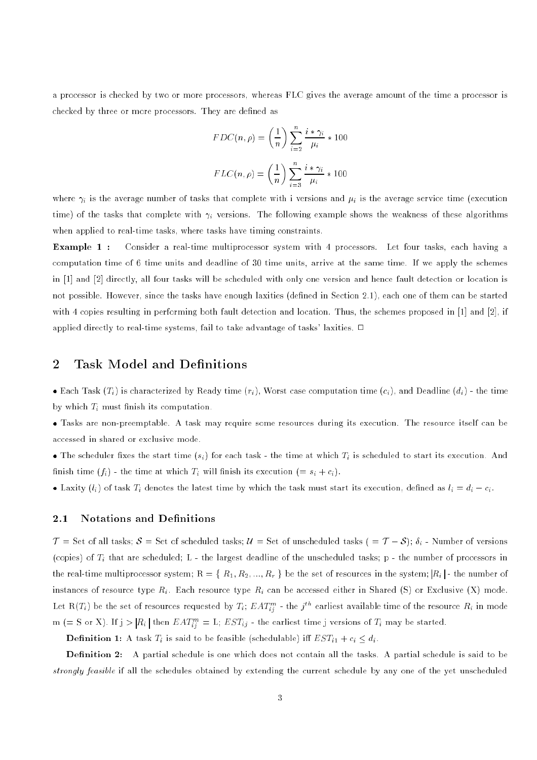a processor is checked by two or more processors, whereas FLC gives the average amount of the time a processor is checked by three or more processors. They are defined as

$$
FDC(n, \rho) = \left(\frac{1}{n}\right) \sum_{i=2}^{n} \frac{i * \gamma_i}{\mu_i} * 100
$$

$$
FLC(n, \rho) = \left(\frac{1}{n}\right) \sum_{i=3}^{n} \frac{i * \gamma_i}{\mu_i} * 100
$$

where  $\gamma_i$  is the average number of tasks that complete with i versions and  $\mu_i$  is the average service time (execution time) of the tasks that complete with  $\gamma_i$  versions. The following example shows the weakness of these algorithms when applied to real-time tasks, where tasks have timing constraints.

Example 1 : Consider a real-time multiprocessor system with 4 processors. Let four tasks, each having a computation time of 6 time units and deadline of 30 time units, arrive at the same time. If we apply the schemes in [1] and [2] directly, all four tasks will be scheduled with only one version and hence fault detection or location is not possible. However, since the tasks have enough laxities (defined in Section 2.1), each one of them can be started with 4 copies resulting in performing both fault detection and location. Thus, the schemes proposed in [1] and [2], if applied directly to real-time systems, fail to take advantage of tasks' laxities.  $\Box$ 

# 2 Task Model and Definitions

• Each Task  $(T_i)$  is characterized by Ready time  $(r_i)$ , Worst case computation time  $(c_i)$ , and Deadline  $(d_i)$  - the time by which  $T_i$  must finish its computation.

 Tasks are non-preemptable. A task may require some resources during its execution. The resource itself can be accessed in shared or exclusive mode.

• The scheduler fixes the start time  $(s_i)$  for each task - the time at which  $T_i$  is scheduled to start its execution. And finish time  $(f_i)$  - the time at which  $T_i$  will finish its execution  $(= s_i + c_i)$ .

• Laxity  $(l_i)$  of task  $T_i$  denotes the latest time by which the task must start its execution, defined as  $l_i = d_i - c_i$ .

# 2.1 Notations and Definitions

 $\mathcal{T} =$  Set of all tasks;  $\mathcal{S} =$  Set of scheduled tasks;  $\mathcal{U} =$  Set of unscheduled tasks ( =  $\mathcal{T} - \mathcal{S}$ );  $\delta_i$  - Number of versions (copies) of  $T_i$  that are scheduled; L - the largest deadline of the unscheduled tasks; p - the number of processors in the real-time multiprocessor system;  $R = \{R_1, R_2, ..., R_r\}$  be the set of resources in the system;  $|R_i|$ -the number of instances of resource type  $R_i$ . Each resource type  $R_i$  can be accessed either in Shared (S) or Exclusive (X) mode. Let  $R(T_i)$  be the set of resources requested by  $T_i$ ;  $EAT_{ii}^m$  - the  $j^{th}$  earliest available time of the resource  $R_i$  in mode  $m (= S \text{ or } X)$ . If  $j > |R_i|$  then  $EAT_{ii}^m = L$ ;  $EST_{ij}$  - the earliest time j versions of  $T_i$  may be started.

**Definition 1:** A task  $T_i$  is said to be feasible (schedulable) iff  $EST_{i1} + c_i \leq d_i$ .

**Definition 2:** A partial schedule is one which does not contain all the tasks. A partial schedule is said to be strongly feasible if all the schedules ob extending the current schedule by any one of the strongly scheduled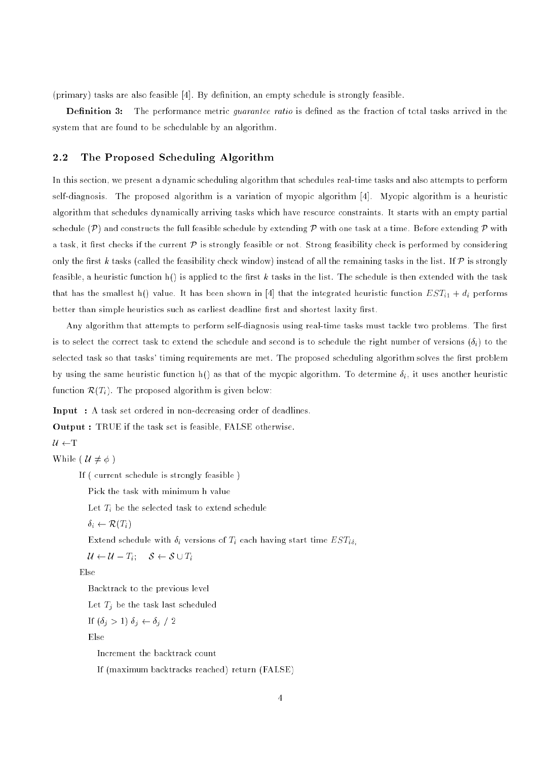(primary) tasks are also feasible [4]. By definition, an empty schedule is strongly feasible.

**Definition 3:** The performance metric *guarantee ratio* is defined as the fraction of total tasks arrived in the system that are found to be schedulable by an algorithm.

# 2.2 The Proposed Scheduling Algorithm

In this section, we present a dynamic scheduling algorithm that schedules real-time tasks and also attempts to perform self-diagnosis. The proposed algorithm is a variation of myopic algorithm [4]. Myopic algorithm is a heuristic algorithm that schedules dynamically arriving tasks which have resource constraints. It starts with an empty partial schedule  $(\mathcal{P})$  and constructs the full feasible schedule by extending  $\mathcal P$  with one task at a time. Before extending  $\mathcal P$  with a task, it first checks if the current  $P$  is strongly feasible or not. Strong feasibility check is performed by considering only the first k tasks (called the feasibility check window) instead of all the remaining tasks in the list. If  $P$  is strongly feasible, a heuristic function  $h()$  is applied to the first k tasks in the list. The schedule is then extended with the task that has the smallest h() value. It has been shown in [4] that the integrated heuristic function  $EST_{i1} + d_i$  performs better than simple heuristics such as earliest deadline first and shortest laxity first.

Any algorithm that attempts to perform self-diagnosis using real-time tasks must tackle two problems. The first is to select the correct task to extend the schedule and second is to schedule the right number of versions  $(\delta_i)$  to the selected task so that tasks' timing requirements are met. The proposed scheduling algorithm solves the first problem by using the same heuristic function h() as that of the myopic algorithm. To determine  $\delta_i$ , it uses another heuristic function  $\mathcal{R}(T_i)$ . The proposed algorithm is given below:

Input : A task set ordered in non-decreasing order of deadlines.

Output : TRUE if the task set is feasible, FALSE otherwise.

 $U \leftarrow T$ 

While (  $\mathcal{U} \neq \phi$  )

```
If ( current schedule is strongly feasible )
```
Pick the task with minimum h value

Let  $T_i$  be the selected task to extend schedule

$$
\delta_i \leftarrow \mathcal{R}(T_i)
$$

Extend schedule with  $\delta_i$  versions of  $T_i$  each having start time  $EST_{i\delta_i}$ 

 $\mathcal{U} \leftarrow \mathcal{U} - T_i; \quad \mathcal{S} \leftarrow \mathcal{S} \cup T_i$ 

Else

Backtrack to the previous level

Let  $T_j$  be the task last scheduled

If 
$$
(\delta_j > 1) \ \delta_j \leftarrow \delta_j / 2
$$

Else

Increment the backtrack count

If (maximum backtracks reached) return (FALSE)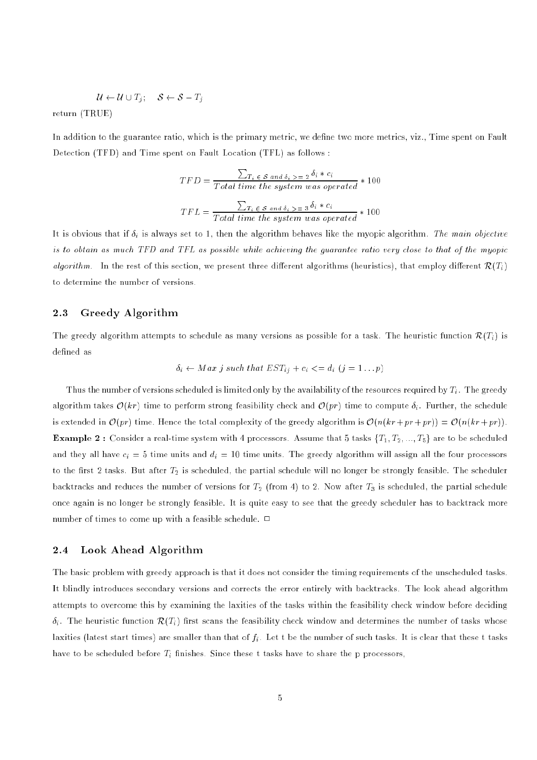$$
\mathcal{U} \leftarrow \mathcal{U} \cup T_j; \quad \mathcal{S} \leftarrow \mathcal{S} - T_j
$$

return (TRUE)

In addition to the guarantee ratio, which is the primary metric, we define two more metrics, viz., Time spent on Fault Detection (TFD) and Time spent on Fault Location (TFL) as follows :

$$
TFD = \frac{\sum_{T_i \in S \text{ and } \delta_i > 2} 2 \delta_i * c_i}{Total \ time \ the \ system \ was \ operated} * 100
$$
\n
$$
TFL = \frac{\sum_{T_i \in S \text{ and } \delta_i > 2} 3 \delta_i * c_i}{Total \ time \ the \ system \ was \ operated} * 100
$$

It is obvious that if  $\delta_i$  is always set to 1, then the algorithm behaves like the myopic algorithm. The main objective is to obtain as much TFD and TFL as possible while achieving the guarantee ratio very close to that of the myopicalgorithm. In the rest of this section, we present three different algorithms (heuristics), that employ different  $\mathcal{R}(T_i)$ to determine the number of versions.

#### $2.3$ Greedy Algorithm

The greedy algorithm attempts to schedule as many versions as possible for a task. The heuristic function  $\mathcal{R}(T_i)$  is defined as

$$
\delta_i \leftarrow Max \; j \; such \; that \; EST_{ij} + c_i \; \langle = d_i \; (j = 1 \ldots p)
$$

Thus the number of versions scheduled is limited only by the availability of the resources required by  $T_i$ . The greedy algorithm takes  $\mathcal{O}(kr)$  time to perform strong feasibility check and  $\mathcal{O}(pr)$  time to compute  $\delta_i$ . Further, the schedule is extended in  $\mathcal{O}(pr)$  time. Hence the total complexity of the greedy algorithm is  $\mathcal{O}(n(kr + pr + pr)) = \mathcal{O}(n(kr + pr))$ . **Example 2**: Consider a real-time system with 4 processors. Assume that 5 tasks  $\{T_1, T_2, ..., T_5\}$  are to be scheduled and they all have  $c_i = 5$  time units and  $d_i = 10$  time units. The greedy algorithm will assign all the four processors to the first 2 tasks. But after  $T_2$  is scheduled, the partial schedule will no longer be strongly feasible. The scheduler backtracks and reduces the number of versions for  $T_2$  (from 4) to 2. Now after  $T_3$  is scheduled, the partial schedule once again is no longer be strongly feasible. It is quite easy to see that the greedy scheduler has to backtrack more number of times to come up with a feasible schedule.  $\Box$ 

### 2.4 Look Ahead Algorithm

The basic problem with greedy approach is that it does not consider the timing requirements of the unscheduled tasks. It blindly introduces secondary versions and corrects the error entirely with backtracks. The look ahead algorithm attempts to overcome this by examining the laxities of the tasks within the feasibility check window before deciding  $\delta_i$ . The heuristic function  $\mathcal{R}(T_i)$  first scans the feasibility check window and determines the number of tasks whose laxities (latest start times) are smaller than that of  $f_i$ . Let t be the number of such tasks. It is clear that these t tasks have to be scheduled before  $T_i$  finishes. Since these t tasks have to share the p processors,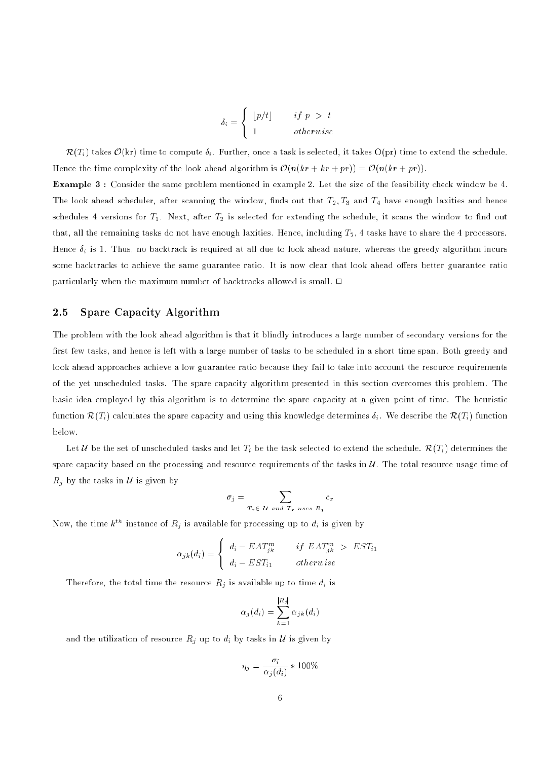$$
\delta_i = \begin{cases} |p/t| & if \ p > t \\ 1 & otherwise \end{cases}
$$

 $\mathcal{R}(T_i)$  takes  $\mathcal{O}(kr)$  time to compute  $\delta_i$ . Further, once a task is selected, it takes  $O(pr)$  time to extend the schedule. Hence the time complexity of the look ahead algorithm is  $\mathcal{O}(n(kr + kr + pr)) = \mathcal{O}(n(kr + pr)).$ 

Example 3 : Consider the same problem mentioned in example 2. Let the size of the feasibility check window be 4. The look ahead scheduler, after scanning the window, finds out that  $T_2, T_3$  and  $T_4$  have enough laxities and hence schedules 4 versions for  $T_1$ . Next, after  $T_2$  is selected for extending the schedule, it scans the window to find out that, all the remaining tasks do not have enough laxities. Hence, including  $T_2$ , 4 tasks have to share the 4 processors. Hence  $\delta_i$  is 1. Thus, no backtrack is required at all due to look ahead nature, whereas the greedy algorithm incurs some backtracks to achieve the same guarantee ratio. It is now clear that look ahead offers better guarantee ratio particularly when the maximum number of backtracks allowed is small.  $\Box$ 

#### 2.5 Spare Capacity Algorithm

The problem with the look ahead algorithm is that it blindly introduces a large number of secondary versions for the first few tasks, and hence is left with a large number of tasks to be scheduled in a short time span. Both greedy and look ahead approaches achieve a low guarantee ratio because they fail to take into account the resource requirements of the yet unscheduled tasks. The spare capacity algorithm presented in this section overcomes this problem. The basic idea employed by this algorithm is to determine the spare capacity at a given point of time. The heuristic function  $\mathcal{R}(T_i)$  calculates the spare capacity and using this knowledge determines  $\delta_i$ . We describe the  $\mathcal{R}(T_i)$  function below.

Let U be the set of unscheduled tasks and let  $T_i$  be the task selected to extend the schedule.  $\mathcal{R}(T_i)$  determines the spare capacity based on the processing and resource requirements of the tasks in  $U$ . The total resource usage time of  $R_i$  by the tasks in U is given by

$$
\sigma_j = \sum_{T_x \in \mathcal{U} \text{ and } T_x \text{ uses } R_j} c_x
$$

Now, the time  $k^{th}$  instance of  $R_j$  is available for processing up to  $d_i$  is given by

$$
\alpha_{jk}(d_i) = \begin{cases} d_i - EAT_{jk}^m & \text{if } EAT_{jk}^m > EST_{i1} \\ d_i - EST_{i1} & \text{otherwise} \end{cases}
$$

Therefore, the total time the resource  $R_j$  is available up to time  $d_i$  is

$$
\alpha_j(d_i) = \sum_{k=1}^{|R_j|} \alpha_{jk}(d_i)
$$

and the utilization of resource  $R_j$  up to  $d_i$  by tasks in  $\mathcal U$  is given by

$$
\eta_j = \frac{\sigma_i}{\alpha_j(d_i)} * 100\%
$$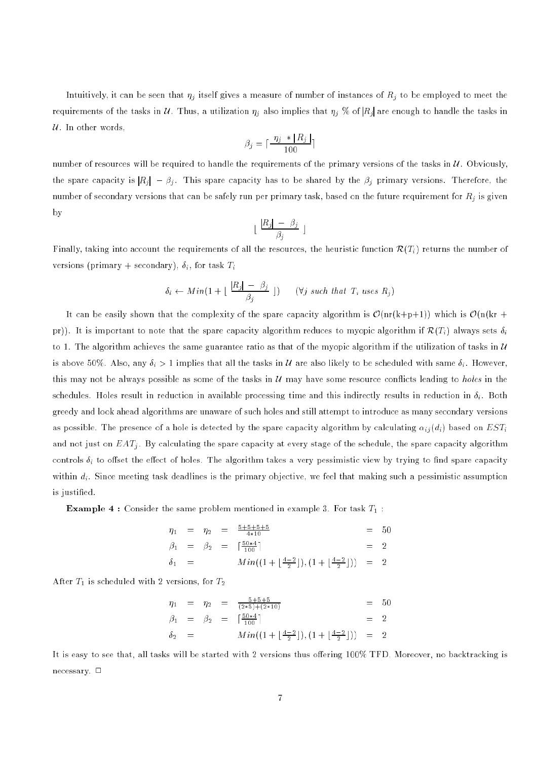Intuitively, it can be seen that  $\eta_i$  itself gives a measure of number of instances of  $R_i$  to be employed to meet the requirements of the tasks in U. Thus, a utilization  $\eta_j$  also implies that  $\eta_j \ll$  of  $|R_j|$  are enough to handle the tasks in  $U$ . In other words

$$
\beta_j = \lceil \frac{\eta_j * |R_j|}{100} \rceil
$$

number of resources will be required to handle the requirements of the primary versions of the tasks in  $\mathcal U$ . Obviously, the spare capacity is  $|R_j| - \beta_j$ . This spare capacity has to be shared by the  $\beta_j$  primary versions. Therefore, the number of secondary versions that can be safely run per primary task, based on the future requirement for  $R_i$  is given by

$$
\lfloor \frac{|R_j| - \beta_j}{\beta_j} \rfloor
$$

Finally, taking into account the requirements of all the resources, the heuristic function  $\mathcal{R}(T_i)$  returns the number of versions (primary + secondary),  $\delta_i$ , for task  $T_i$ 

$$
\delta_i \leftarrow Min\left(1 + \lfloor \frac{|R_j| - \beta_j}{\beta_j} \rfloor\right) \quad (\forall j \text{ such that } T_i \text{ uses } R_j)
$$

It can be easily shown that the complexity of the spare capacity algorithm is  $\mathcal{O}(nr(k+p+1))$  which is  $\mathcal{O}(n(kr + p+1))$ pr)). It is important to note that the spare capacity algorithm reduces to myopic algorithm if  $\mathcal{R}(T_i)$  always sets  $\delta_i$ to 1. The algorithm achieves the same guarantee ratio as that of the myopic algorithm if the utilization of tasks in  $U$ is above 50%. Also, any  $\delta_i > 1$  implies that all the tasks in  $U$  are also likely to be scheduled with same  $\delta_i$ . However, this may not be always possible as some of the tasks in  $U$  may have some resource conflicts leading to *holes* in the schedules. Holes result in reduction in available processing time and this indirectly results in reduction in  $\delta_i$ . Both greedy and look ahead algorithms are unaware of such holes and still attempt to introduce as many secondary versions as possible. The presence of a hole is detected by the spare capacity algorithm by calculating  $\alpha_{ij} (d_i)$  based on  $EST_i$ and not just on  $EAT_i$ . By calculating the spare capacity at every stage of the schedule, the spare capacity algorithm controls  $\delta_i$  to offset the effect of holes. The algorithm takes a very pessimistic view by trying to find spare capacity within  $d_i$ . Since meeting task deadlines is the primary objective, we feel that making such a pessimistic assumption is justied.

**Example 4** : Consider the same problem mentioned in example 3. For task  $T_1$ :

$$
\eta_1 = \eta_2 = \frac{5+5+5+5}{4*10} = 50
$$
  
\n
$$
\beta_1 = \beta_2 = \left[\frac{50*4}{100}\right] = 2
$$
  
\n
$$
\delta_1 = \frac{Min((1+\left[\frac{4-2}{2}\right]), (1+\left[\frac{4-2}{2}\right]))}{2} = 2
$$

After  $T_1$  is scheduled with 2 versions, for  $T_2$ 

$$
\begin{array}{rcl}\n\eta_1 & = & \eta_2 & = & \frac{5+5+5}{(2*5)+(2*10)} & = & 50 \\
\beta_1 & = & \beta_2 & = & \left\lceil \frac{50*4}{100}\right\rceil & = & 2 \\
\delta_2 & = & Min\left(\left(1 + \left\lfloor \frac{4-2}{2}\right\rfloor\right), \left(1 + \left\lfloor \frac{4-2}{2}\right\rfloor\right)\right) & = & 2\n\end{array}
$$

It is easy to see that, all tasks will be started with 2 versions thus offering 100% TFD. Moreover, no backtracking is necessary.  $\square$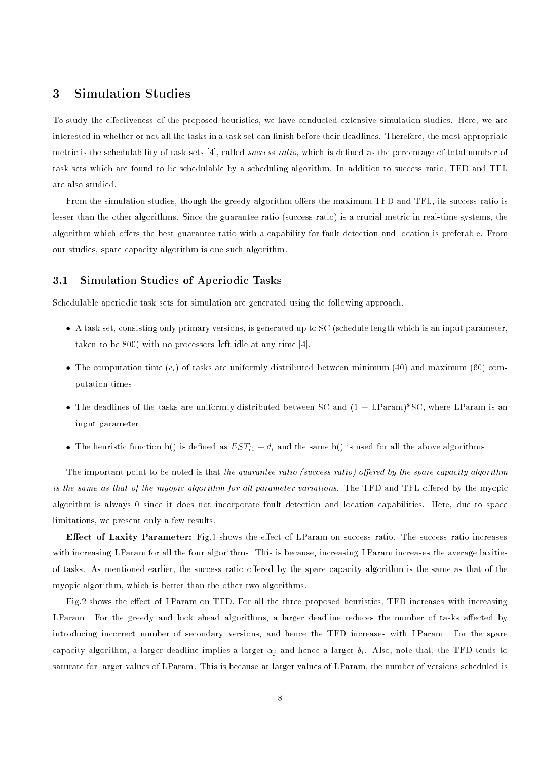# <sup>3</sup> Simulation Studies

To study the effectiveness of the proposed heuristics, we have conducted extensive simulation studies. Here, we are interested in whether or not all the tasks in a task set can finish before their deadlines. Therefore, the most appropriate metric is the schedulability of task sets [4], called *success ratio*, which is defined as the percentage of total number of task sets which are found to be schedulable by a scheduling algorithm. In addition to success ratio, TFD and TFL are also studied.

From the simulation studies, though the greedy algorithm offers the maximum TFD and TFL, its success ratio is lesser than the other algorithms. Since the guarantee ratio (success ratio) is a crucial metric in real-time systems, the algorithm which offers the best guarantee ratio with a capability for fault detection and location is preferable. From our studies, spare capacity algorithm is one such algorithm.

### 3.1 Simulation Studies of Aperiodic Tasks

Schedulable aperiodic task sets for simulation are generated using the following approach.

- A task set, consisting only primary versions, is generated up to SC (schedule length which is an input parameter, taken to be 800) with no processors left idle at any time [4].
- $\bullet$  The computation time ( $c_i$ ) of tasks are uniformly distributed between minimum (40) and maximum (60) computation times.
- $\tau$  the dealing of the tasks are uniformly distributed between SC and (1  $^+$  LParametical component is an input parameter.
- The heuristic function h() is defined as  $EST_{i1} + d_i$  and the same h() is used for all the above algorithms.

The important point to be noted is that the quarantee ratio (success ratio) offered by the spare capacity algorithm is the same as that of the myopic algorithm for al l parameter variations. The TFD and TFL oered by the myopic algorithm is always 0 since it does not incorporate fault detection and location capabilities. Here, due to space limitations, we present only a few results.

Effect of Laxity Parameter: Fig.1 shows the effect of LParam on success ratio. The success ratio increases with increasing LParam for all the four algorithms. This is because, increasing LParam increases the average laxities of tasks. As mentioned earlier, the success ratio offered by the spare capacity algorithm is the same as that of the myopic algorithm, which is better than the other two algorithms.

Fig.2 shows the effect of LParam on TFD. For all the three proposed heuristics, TFD increases with increasing LParam. For the greedy and look ahead algorithms, a larger deadline reduces the number of tasks affected by introducing incorrect number of secondary versions, and hence the TFD increases with LParam. For the spare capacity algorithm, a larger deadline implies a larger  $\alpha_i$  and hence a larger  $\delta_i$ . Also, note that, the TFD tends to saturate for larger values of LParam. This is because at larger values of LParam, the number of versions scheduled is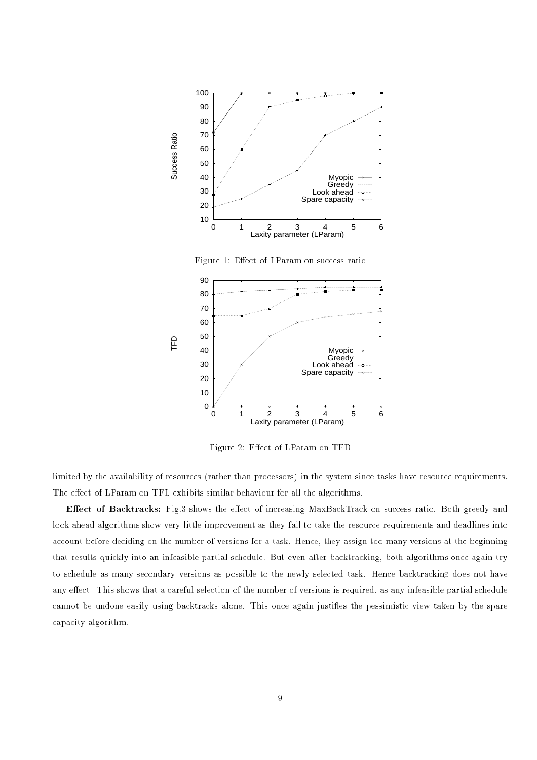

Figure 2: Effect of LParam on TFD limited by the availability of resources (rather than processors) in the system since tasks have resource requirements.

0 1 2 3 4 5 6

Greedy Look ahead Spare capacity

 $\sim +$  $\cdots$  given

Laxity parameter (LParam)

The effect of LParam on TFL exhibits similar behaviour for all the algorithms. Effect of Backtracks: Fig.3 shows the effect of increasing MaxBackTrack on success ratio. Both greedy and

look ahead algorithms show very little improvement as they fail to take the resource requirements and deadlines into account before deciding on the number of versions for a task. Hence, they assign too many versions at the beginning that results quickly into an infeasible partial schedule. But even after backtracking, both algorithms once again try to schedule as many secondary versions as possible to the newly selected task. Hence backtracking does not have any effect. This shows that a careful selection of the number of versions is required, as any infeasible partial schedule cannot be undone easily using backtracks alone. This once again justies the pessimistic view taken by the spare capacity algorithm.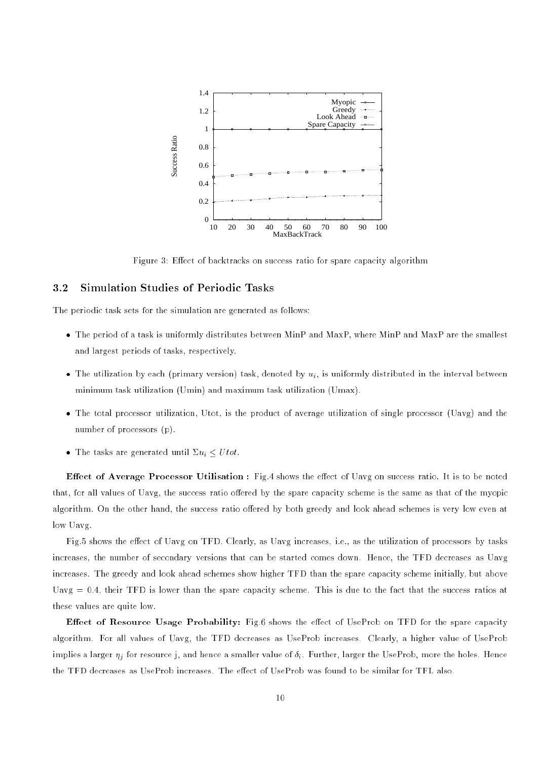

Figure 3: Effect of backtracks on success ratio for spare capacity algorithm

### 3.2 Simulation Studies of Periodic Tasks

The periodic task sets for the simulation are generated as follows:

- The period of a task is uniformly distributes between MinP and MaxP, where MinP and MaxP are the smallest and largest periods of tasks, respectively.
- $\bullet$  The utilization by each (primary version) task, denoted by  $u_i$ , is uniformly distributed in the interval between minimum task utilization (Umin) and maximum task utilization (Umax).
- The total processor utilization, Utot, is the product of average utilization of single processor (Uavg) and the number of processors (p).
- The tasks are generated until  $\Sigma u_i \leq U tot$ .

**Effect of Average Processor Utilisation**: Fig.4 shows the effect of Uavg on success ratio. It is to be noted that, for all values of Uavg, the success ratio offered by the spare capacity scheme is the same as that of the myopic algorithm. On the other hand, the success ratio offered by both greedy and look ahead schemes is very low even at low Uavg.

Fig.5 shows the effect of Uavg on TFD. Clearly, as Uavg increases, i.e., as the utilization of processors by tasks increases, the number of secondary versions that can be started comes down. Hence, the TFD decreases as Uavg increases. The greedy and look ahead schemes show higher TFD than the spare capacity scheme initially, but above Uavg  $= 0.4$ , their TFD is lower than the spare capacity scheme. This is due to the fact that the success ratios at these values are quite low.

**Effect of Resource Usage Probability:** Fig.6 shows the effect of UseProb on TFD for the spare capacity algorithm. For all values of Uavg, the TFD decreases as UseProb increases. Clearly, a higher value of UseProb implies a larger  $\eta_i$  for resource j, and hence a smaller value of  $\delta_i$ . Further, larger the UseProb, more the holes. Hence the TFD decreases as UseProb increases. The effect of UseProb was found to be similar for TFL also.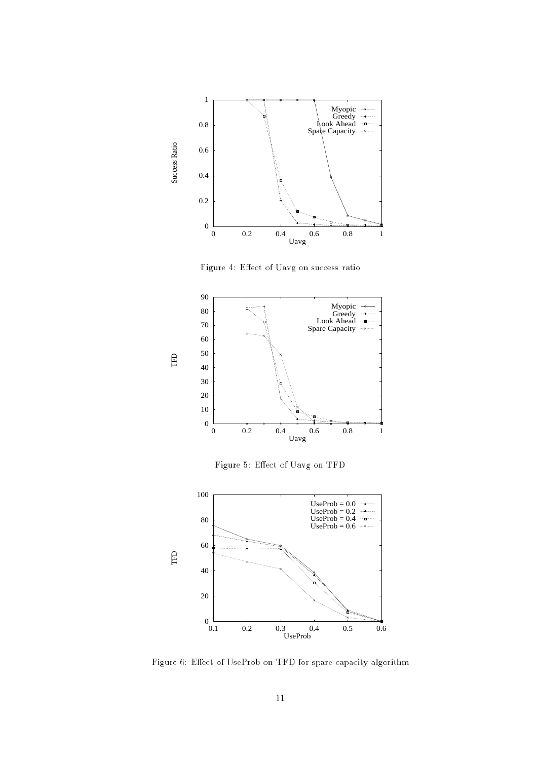

Figure 4: Effect of Uavg on success ratio



Figure 5: Effect of Uavg on TFD



Figure 6: Effect of UseProb on TFD for spare capacity algorithm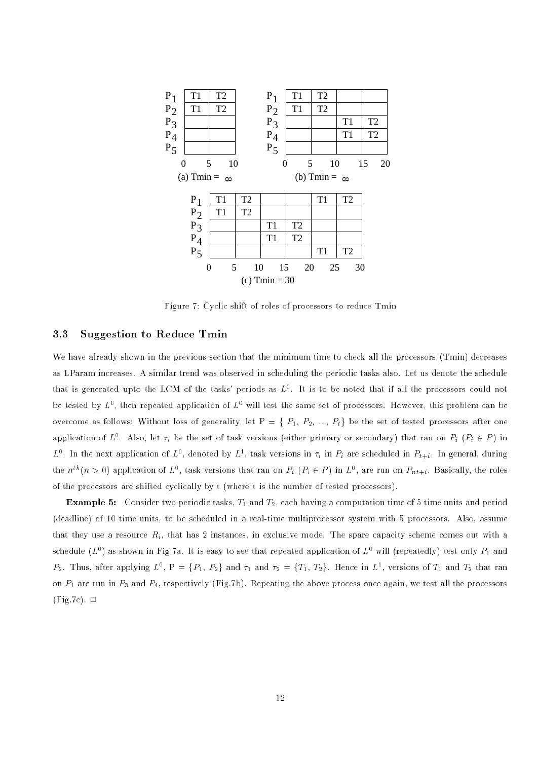

Figure 7: Cyclic shift of roles of processors to reduce Tmin

### 3.3 Suggestion to Reduce Tmin

We have already shown in the previous section that the minimum time to check all the processors (Tmin) decreases as LParam increases. A similar trend was observed in scheduling the periodic tasks also. Let us denote the schedule that is generated upto the LCM of the tasks' periods as  $L^0$ . It is to be noted that if all the processors could not be tested by  $L^0$ , then repeated application of  $L^0$  will test the same set of processors. However, this problem can be overcome as follows: Without loss of generality, let  $P = \{P_1, P_2, ..., P_t\}$  be the set of tested processors after one application of  $L^0$ . Also, let  $\tau_i$  be the set of task versions (either primary or secondary) that ran on  $P_i$  ( $P_i \in P$ ) in  $L^0$ . In the next application of  $L^0$ , denoted by  $L^1$ , task versions in  $\tau_i$  in  $P_i$  are scheduled in  $P_{t+i}$ . In general, during the  $n^{tn}(n > 0)$  application of  $L^0$ , task versions that ran on  $P_i$   $(P_i \in P)$  in  $L^0$ , are run on  $P_{nt+i}$ . Basically, the roles of the processors are shifted cyclically by t (where t is the number of tested processors).

**Example 5:** Consider two periodic tasks,  $T_1$  and  $T_2$ , each having a computation time of 5 time units and period (deadline) of 10 time units, to be scheduled in a real-time multiprocessor system with 5 processors. Also, assume that they use a resource  $R_i$ , that has 2 instances, in exclusive mode. The spare capacity scheme comes out with a schedule  $(L^0)$  as shown in Fig.7a. It is easy to see that repeated application of  $L^0$  will (repeatedly) test only  $P_1$  and  $P_2$ . Thus, after applying  $L^0$ ,  $P = \{P_1, P_2\}$  and  $\tau_1$  and  $\tau_2 = \{T_1, T_2\}$ . Hence in  $L^1$ , versions of  $T_1$  and  $T_2$  that ran on  $P_1$  are run in  $P_3$  and  $P_4$ , respectively (Fig.7b). Repeating the above process once again, we test all the processors  $(Fig.7c)$ .  $\Box$